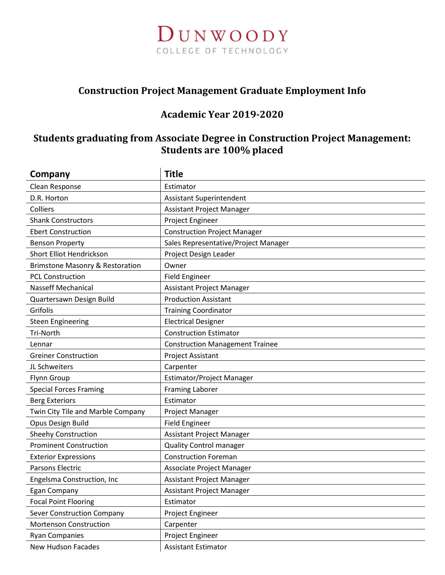

### Construction Project Management Graduate Employment Info

## Academic Year 2019-2020

## Students graduating from Associate Degree in Construction Project Management: Students are 100% placed

| Company                                    | <b>Title</b>                           |
|--------------------------------------------|----------------------------------------|
| Clean Response                             | Estimator                              |
| D.R. Horton                                | <b>Assistant Superintendent</b>        |
| Colliers                                   | Assistant Project Manager              |
| <b>Shank Constructors</b>                  | Project Engineer                       |
| <b>Ebert Construction</b>                  | <b>Construction Project Manager</b>    |
| <b>Benson Property</b>                     | Sales Representative/Project Manager   |
| Short Elliot Hendrickson                   | Project Design Leader                  |
| <b>Brimstone Masonry &amp; Restoration</b> | Owner                                  |
| <b>PCL Construction</b>                    | <b>Field Engineer</b>                  |
| <b>Nasseff Mechanical</b>                  | Assistant Project Manager              |
| Quartersawn Design Build                   | <b>Production Assistant</b>            |
| Grifolis                                   | <b>Training Coordinator</b>            |
| <b>Steen Engineering</b>                   | <b>Electrical Designer</b>             |
| <b>Tri-North</b>                           | <b>Construction Estimator</b>          |
| Lennar                                     | <b>Construction Management Trainee</b> |
| <b>Greiner Construction</b>                | Project Assistant                      |
| JL Schweiters                              | Carpenter                              |
| Flynn Group                                | Estimator/Project Manager              |
| <b>Special Forces Framing</b>              | <b>Framing Laborer</b>                 |
| <b>Berg Exteriors</b>                      | Estimator                              |
| Twin City Tile and Marble Company          | Project Manager                        |
| Opus Design Build                          | <b>Field Engineer</b>                  |
| <b>Sheehy Construction</b>                 | Assistant Project Manager              |
| <b>Prominent Construction</b>              | <b>Quality Control manager</b>         |
| <b>Exterior Expressions</b>                | <b>Construction Foreman</b>            |
| Parsons Electric                           | Associate Project Manager              |
| Engelsma Construction, Inc                 | Assistant Project Manager              |
| <b>Egan Company</b>                        | Assistant Project Manager              |
| <b>Focal Point Flooring</b>                | Estimator                              |
| <b>Sever Construction Company</b>          | Project Engineer                       |
| Mortenson Construction                     | Carpenter                              |
| <b>Ryan Companies</b>                      | Project Engineer                       |
| <b>New Hudson Facades</b>                  | <b>Assistant Estimator</b>             |